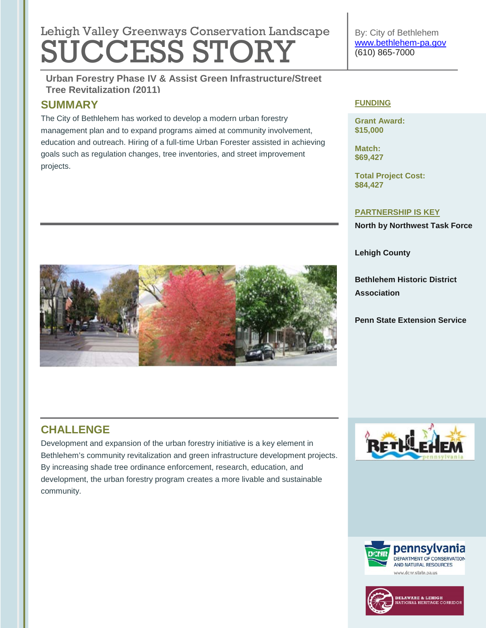# Lehigh Valley Greenways Conservation Landscape SUCCESS STORY

**Urban Forestry Phase IV & Assist Green Infrastructure/Street Tree Revitalization (2011) Urban Forestry Phase IV & Assist Green Infrastructure/Street** 

# **SUMMARY**

The City of Bethlehem has worked to develop a modern urban forestry management plan and to expand programs aimed at community involvement, education and outreach. Hiring of a full-time Urban Forester assisted in achieving goals such as regulation changes, tree inventories, and street improvement projects.



By: City of Bethlehem [www.bethlehem-pa.gov](http://www.bethlehem-pa.gov/) (610) 865-7000

### **FUNDING**

**Grant Award: \$15,000**

**Match: \$69,427**

**Total Project Cost: \$84,427**

### **PARTNERSHIP IS KEY**

**North by Northwest Task Force**

**Lehigh County**

**Bethlehem Historic District Association**

**Penn State Extension Service**

## **CHALLENGE**

Development and expansion of the urban forestry initiative is a key element in Bethlehem's community revitalization and green infrastructure development projects. By increasing shade tree ordinance enforcement, research, education, and development, the urban forestry program creates a more livable and sustainable community.